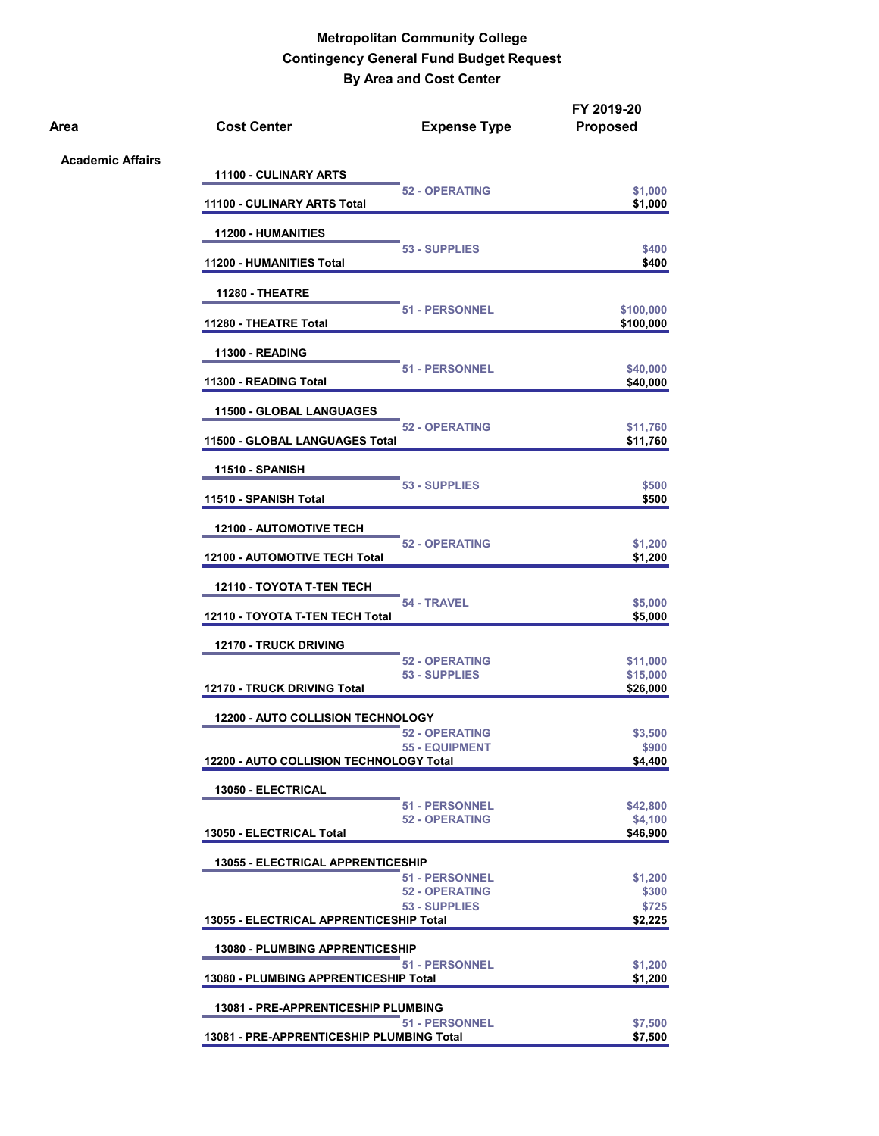| Area                    | <b>Cost Center</b>                        | <b>Expense Type</b>                            | FY 2019-20<br><b>Proposed</b>   |
|-------------------------|-------------------------------------------|------------------------------------------------|---------------------------------|
| <b>Academic Affairs</b> | 11100 - CULINARY ARTS                     |                                                |                                 |
|                         | 11100 - CULINARY ARTS Total               | <b>52 - OPERATING</b>                          | \$1,000<br>\$1,000              |
|                         | <b>11200 - HUMANITIES</b>                 |                                                |                                 |
|                         | <b>11200 - HUMANITIES Total</b>           | 53 - SUPPLIES                                  | \$400<br>\$400                  |
|                         | <b>11280 - THEATRE</b>                    |                                                |                                 |
|                         | 11280 - THEATRE Total                     | <b>51 - PERSONNEL</b>                          | \$100,000<br>\$100,000          |
|                         | <b>11300 - READING</b>                    |                                                |                                 |
|                         | 11300 - READING Total                     | <b>51 - PERSONNEL</b>                          | \$40,000<br>\$40,000            |
|                         | 11500 - GLOBAL LANGUAGES                  |                                                |                                 |
|                         | 11500 - GLOBAL LANGUAGES Total            | <b>52 - OPERATING</b>                          | \$11,760<br>\$11,760            |
|                         | <b>11510 - SPANISH</b>                    |                                                |                                 |
|                         | 11510 - SPANISH Total                     | 53 - SUPPLIES                                  | \$500<br>\$500                  |
|                         | <b>12100 - AUTOMOTIVE TECH</b>            | <b>52 - OPERATING</b>                          | \$1,200                         |
|                         | <b>12100 - AUTOMOTIVE TECH Total</b>      |                                                | \$1,200                         |
|                         | <b>12110 - TOYOTA T-TEN TECH</b>          | 54 - TRAVEL                                    | \$5,000                         |
|                         | 12110 - TOYOTA T-TEN TECH Total           |                                                | \$5,000                         |
|                         | <b>12170 - TRUCK DRIVING</b>              | <b>52 - OPERATING</b>                          | \$11,000                        |
|                         | 12170 - TRUCK DRIVING Total               | 53 - SUPPLIES                                  | \$15,000<br>\$26,000            |
|                         | <b>12200 - AUTO COLLISION TECHNOLOGY</b>  |                                                |                                 |
|                         | 12200 - AUTO COLLISION TECHNOLOGY Total   | <b>52 - OPERATING</b><br><b>55 - EQUIPMENT</b> | \$3,500<br>\$900<br>\$4,400     |
|                         | 13050 - ELECTRICAL                        |                                                |                                 |
|                         | 13050 - ELECTRICAL Total                  | <b>51 - PERSONNEL</b><br><b>52 - OPERATING</b> | \$42,800<br>\$4,100<br>\$46,900 |
|                         | <b>13055 - ELECTRICAL APPRENTICESHIP</b>  |                                                |                                 |
|                         |                                           | <b>51 - PERSONNEL</b><br><b>52 - OPERATING</b> | \$1,200<br>\$300                |
|                         | 13055 - ELECTRICAL APPRENTICESHIP Total   | 53 - SUPPLIES                                  | \$725<br>\$2,225                |
|                         | <b>13080 - PLUMBING APPRENTICESHIP</b>    |                                                |                                 |
|                         | 13080 - PLUMBING APPRENTICESHIP Total     | <b>51 - PERSONNEL</b>                          | \$1,200<br>\$1,200              |
|                         | 13081 - PRE-APPRENTICESHIP PLUMBING       |                                                |                                 |
|                         | 13081 - PRE-APPRENTICESHIP PLUMBING Total | <b>51 - PERSONNEL</b>                          | \$7,500<br>\$7,500              |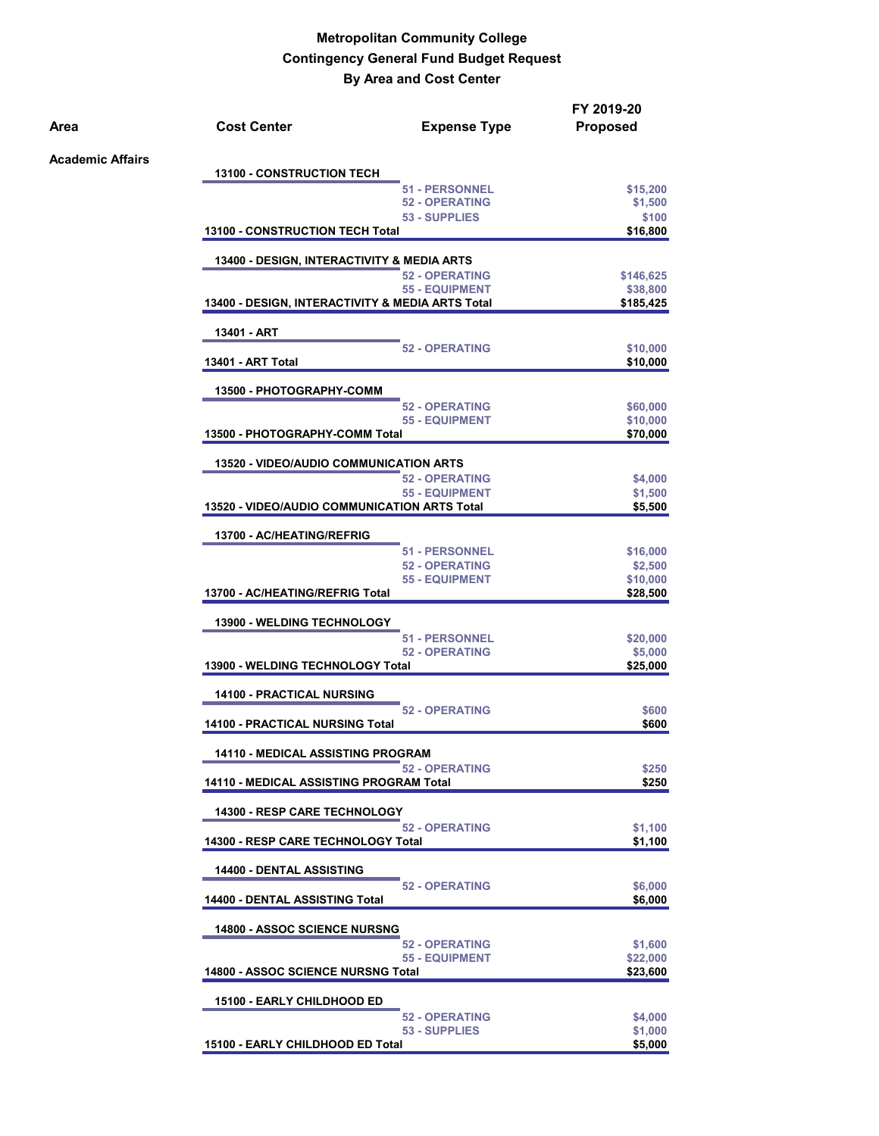| Area                    | <b>Cost Center</b>                                  | <b>Expense Type</b>                            | FY 2019-20<br><b>Proposed</b> |
|-------------------------|-----------------------------------------------------|------------------------------------------------|-------------------------------|
| <b>Academic Affairs</b> | <b>13100 - CONSTRUCTION TECH</b>                    |                                                |                               |
|                         |                                                     | 51 - PERSONNEL                                 | \$15,200                      |
|                         |                                                     | <b>52 - OPERATING</b>                          | \$1,500                       |
|                         |                                                     | 53 - SUPPLIES                                  | \$100                         |
|                         | <b>13100 - CONSTRUCTION TECH Total</b>              |                                                | \$16,800                      |
|                         | 13400 - DESIGN, INTERACTIVITY & MEDIA ARTS          |                                                |                               |
|                         |                                                     | <b>52 - OPERATING</b>                          | \$146,625                     |
|                         | 13400 - DESIGN, INTERACTIVITY & MEDIA ARTS Total    | <b>55 - EQUIPMENT</b>                          | \$38,800<br>\$185,425         |
|                         | 13401 - ART                                         |                                                |                               |
|                         |                                                     | <b>52 - OPERATING</b>                          | \$10,000                      |
|                         | 13401 - ART Total                                   |                                                | \$10,000                      |
|                         | 13500 - PHOTOGRAPHY-COMM                            |                                                |                               |
|                         |                                                     | <b>52 - OPERATING</b>                          | \$60,000                      |
|                         |                                                     | 55 - EQUIPMENT                                 | \$10,000                      |
|                         | 13500 - PHOTOGRAPHY-COMM Total                      |                                                | \$70,000                      |
|                         | <b>13520 - VIDEO/AUDIO COMMUNICATION ARTS</b>       |                                                |                               |
|                         |                                                     | <b>52 - OPERATING</b>                          | \$4,000                       |
|                         | <b>13520 - VIDEO/AUDIO COMMUNICATION ARTS Total</b> | <b>55 - EQUIPMENT</b>                          | \$1,500<br>\$5,500            |
|                         |                                                     |                                                |                               |
|                         | 13700 - AC/HEATING/REFRIG                           |                                                |                               |
|                         |                                                     | <b>51 - PERSONNEL</b>                          | \$16,000                      |
|                         |                                                     | <b>52 - OPERATING</b>                          | \$2,500                       |
|                         |                                                     | <b>55 - EQUIPMENT</b>                          | \$10,000                      |
|                         | 13700 - AC/HEATING/REFRIG Total                     |                                                | \$28,500                      |
|                         | <b>13900 - WELDING TECHNOLOGY</b>                   |                                                |                               |
|                         |                                                     | <b>51 - PERSONNEL</b><br><b>52 - OPERATING</b> | \$20,000                      |
|                         | 13900 - WELDING TECHNOLOGY Total                    |                                                | \$5,000<br>\$25,000           |
|                         | <b>14100 - PRACTICAL NURSING</b>                    |                                                |                               |
|                         |                                                     | <b>52 - OPERATING</b>                          | \$600                         |
|                         | <b>14100 - PRACTICAL NURSING Total</b>              |                                                | \$600                         |
|                         | 14110 - MEDICAL ASSISTING PROGRAM                   |                                                |                               |
|                         | 14110 - MEDICAL ASSISTING PROGRAM Total             | <b>52 - OPERATING</b>                          | \$250<br>\$250                |
|                         | 14300 - RESP CARE TECHNOLOGY                        |                                                |                               |
|                         |                                                     | <b>52 - OPERATING</b>                          | \$1,100                       |
|                         | 14300 - RESP CARE TECHNOLOGY Total                  |                                                | \$1,100                       |
|                         | 14400 - DENTAL ASSISTING                            | <b>52 - OPERATING</b>                          | \$6,000                       |
|                         | <b>14400 - DENTAL ASSISTING Total</b>               |                                                | \$6,000                       |
|                         | <b>14800 - ASSOC SCIENCE NURSNG</b>                 |                                                |                               |
|                         |                                                     | <b>52 - OPERATING</b>                          | \$1,600                       |
|                         |                                                     | 55 - EQUIPMENT                                 | \$22,000                      |
|                         | 14800 - ASSOC SCIENCE NURSNG Total                  |                                                | \$23,600                      |
|                         | 15100 - EARLY CHILDHOOD ED                          |                                                |                               |
|                         |                                                     | <b>52 - OPERATING</b>                          | \$4,000                       |
|                         |                                                     | 53 - SUPPLIES                                  | \$1,000                       |
|                         | 15100 - EARLY CHILDHOOD ED Total                    |                                                | \$5,000                       |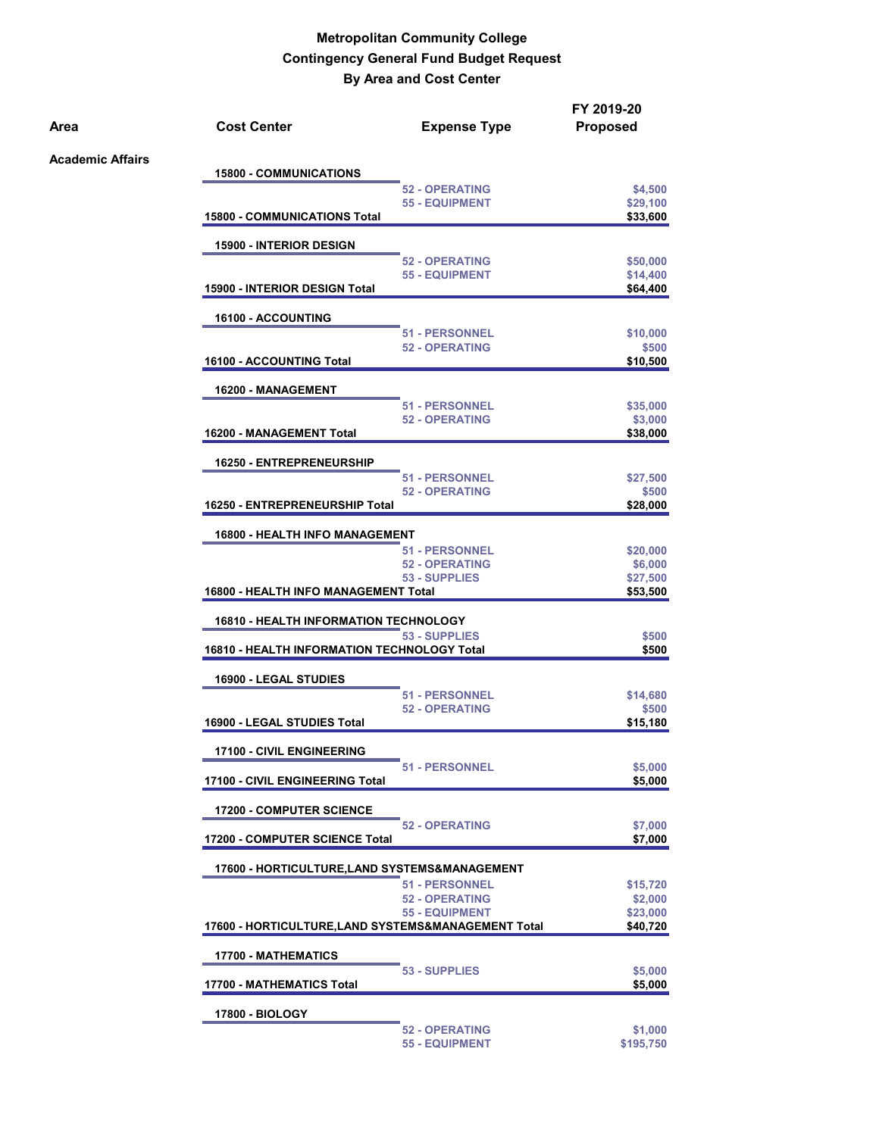| Area                    | <b>Cost Center</b>                                  | <b>Expense Type</b>                            | FY 2019-20<br><b>Proposed</b> |
|-------------------------|-----------------------------------------------------|------------------------------------------------|-------------------------------|
| <b>Academic Affairs</b> |                                                     |                                                |                               |
|                         | <b>15800 - COMMUNICATIONS</b>                       | <b>52 - OPERATING</b>                          |                               |
|                         |                                                     | <b>55 - EQUIPMENT</b>                          | \$4,500<br>\$29,100           |
|                         | <b>15800 - COMMUNICATIONS Total</b>                 |                                                | \$33,600                      |
|                         | <b>15900 - INTERIOR DESIGN</b>                      |                                                |                               |
|                         |                                                     | <b>52 - OPERATING</b><br><b>55 - EQUIPMENT</b> | \$50,000                      |
|                         | <b>15900 - INTERIOR DESIGN Total</b>                |                                                | \$14,400<br>\$64,400          |
|                         | 16100 - ACCOUNTING                                  |                                                |                               |
|                         |                                                     | <b>51 - PERSONNEL</b>                          | \$10,000                      |
|                         | 16100 - ACCOUNTING Total                            | <b>52 - OPERATING</b>                          | \$500<br>\$10,500             |
|                         |                                                     |                                                |                               |
|                         | 16200 - MANAGEMENT                                  | <b>51 - PERSONNEL</b>                          | \$35,000                      |
|                         |                                                     | <b>52 - OPERATING</b>                          | \$3,000                       |
|                         | 16200 - MANAGEMENT Total                            |                                                | \$38,000                      |
|                         | <b>16250 - ENTREPRENEURSHIP</b>                     |                                                |                               |
|                         |                                                     | <b>51 - PERSONNEL</b><br><b>52 - OPERATING</b> | \$27,500                      |
|                         | 16250 - ENTREPRENEURSHIP Total                      |                                                | \$500<br>\$28,000             |
|                         | <b>16800 - HEALTH INFO MANAGEMENT</b>               |                                                |                               |
|                         |                                                     | <b>51 - PERSONNEL</b>                          | \$20,000                      |
|                         |                                                     | <b>52 - OPERATING</b>                          | \$6,000                       |
|                         | <b>16800 - HEALTH INFO MANAGEMENT Total</b>         | 53 - SUPPLIES                                  | \$27,500<br>\$53,500          |
|                         | <b>16810 - HEALTH INFORMATION TECHNOLOGY</b>        |                                                |                               |
|                         | 53 - SUPPLIES                                       | \$500                                          |                               |
|                         | <b>16810 - HEALTH INFORMATION TECHNOLOGY Total</b>  |                                                | \$500                         |
|                         | 16900 - LEGAL STUDIES                               |                                                |                               |
|                         |                                                     | <b>51 - PERSONNEL</b><br><b>52 - OPERATING</b> | \$14,680<br>\$500             |
|                         | 16900 - LEGAL STUDIES Total                         |                                                | \$15,180                      |
|                         | 17100 - CIVIL ENGINEERING                           |                                                |                               |
|                         | 17100 - CIVIL ENGINEERING Total                     | <b>51 - PERSONNEL</b>                          | \$5,000<br>\$5,000            |
|                         |                                                     |                                                |                               |
|                         | <b>17200 - COMPUTER SCIENCE</b>                     | <b>52 - OPERATING</b>                          | \$7,000                       |
|                         | <b>17200 - COMPUTER SCIENCE Total</b>               |                                                | \$7,000                       |
|                         | 17600 - HORTICULTURE,LAND SYSTEMS&MANAGEMENT        |                                                |                               |
|                         |                                                     | <b>51 - PERSONNEL</b><br><b>52 - OPERATING</b> | \$15,720<br>\$2,000           |
|                         |                                                     | <b>55 - EQUIPMENT</b>                          | \$23,000                      |
|                         | 17600 - HORTICULTURE, LAND SYSTEMS&MANAGEMENT Total |                                                | \$40,720                      |
|                         | <b>17700 - MATHEMATICS</b>                          |                                                |                               |
|                         | 17700 - MATHEMATICS Total                           | 53 - SUPPLIES                                  | \$5,000<br>\$5,000            |
|                         | <b>17800 - BIOLOGY</b>                              |                                                |                               |
|                         |                                                     | <b>52 - OPERATING</b>                          | \$1,000                       |
|                         |                                                     | <b>55 - EQUIPMENT</b>                          | \$195,750                     |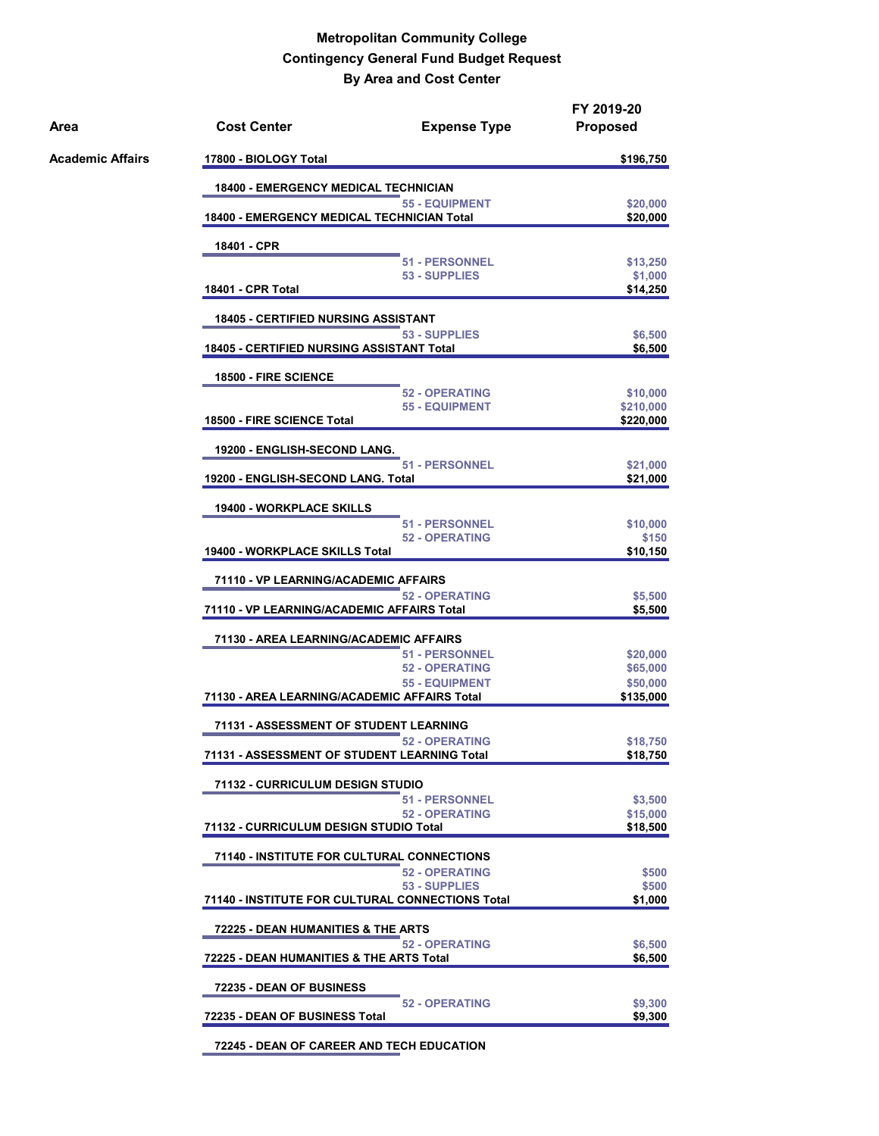| Area             | <b>Cost Center</b><br><b>Expense Type</b>                             | FY 2019-20<br><b>Proposed</b> |
|------------------|-----------------------------------------------------------------------|-------------------------------|
| Academic Affairs | 17800 - BIOLOGY Total                                                 | \$196,750                     |
|                  | <b>18400 - EMERGENCY MEDICAL TECHNICIAN</b>                           |                               |
|                  | <b>55 - EQUIPMENT</b>                                                 | \$20,000                      |
|                  | <b>18400 - EMERGENCY MEDICAL TECHNICIAN Total</b>                     | \$20,000                      |
|                  | 18401 - CPR                                                           |                               |
|                  | <b>51 - PERSONNEL</b><br>53 - SUPPLIES                                | \$13,250<br>\$1,000           |
|                  | <b>18401 - CPR Total</b>                                              | \$14,250                      |
|                  | <b>18405 - CERTIFIED NURSING ASSISTANT</b>                            |                               |
|                  | 53 - SUPPLIES<br><b>18405 - CERTIFIED NURSING ASSISTANT Total</b>     | \$6,500<br>\$6,500            |
|                  | <b>18500 - FIRE SCIENCE</b>                                           |                               |
|                  | <b>52 - OPERATING</b>                                                 | \$10,000                      |
|                  | <b>55 - EQUIPMENT</b><br>18500 - FIRE SCIENCE Total                   | \$210,000<br>\$220,000        |
|                  |                                                                       |                               |
|                  | 19200 - ENGLISH-SECOND LANG.<br><b>51 - PERSONNEL</b>                 | \$21,000                      |
|                  | 19200 - ENGLISH-SECOND LANG. Total                                    | \$21,000                      |
|                  | <b>19400 - WORKPLACE SKILLS</b>                                       |                               |
|                  | <b>51 - PERSONNEL</b>                                                 | \$10,000                      |
|                  | <b>52 - OPERATING</b>                                                 | \$150                         |
|                  | 19400 - WORKPLACE SKILLS Total                                        | \$10,150                      |
|                  | 71110 - VP LEARNING/ACADEMIC AFFAIRS                                  |                               |
|                  | <b>52 - OPERATING</b><br>71110 - VP LEARNING/ACADEMIC AFFAIRS Total   | \$5,500<br>\$5,500            |
|                  |                                                                       |                               |
|                  | 71130 - AREA LEARNING/ACADEMIC AFFAIRS<br><b>51 - PERSONNEL</b>       |                               |
|                  | <b>52 - OPERATING</b>                                                 | \$20,000<br>\$65,000          |
|                  | <b>55 - EQUIPMENT</b>                                                 | \$50,000                      |
|                  | 71130 - AREA LEARNING/ACADEMIC AFFAIRS Total                          | \$135,000                     |
|                  | 71131 - ASSESSMENT OF STUDENT LEARNING                                |                               |
|                  | <b>52 - OPERATING</b><br>71131 - ASSESSMENT OF STUDENT LEARNING Total | \$18,750<br>\$18,750          |
|                  |                                                                       |                               |
|                  | 71132 - CURRICULUM DESIGN STUDIO<br><b>51 - PERSONNEL</b>             |                               |
|                  | <b>52 - OPERATING</b>                                                 | \$3,500<br>\$15,000           |
|                  | 71132 - CURRICULUM DESIGN STUDIO Total                                | \$18,500                      |
|                  | 71140 - INSTITUTE FOR CULTURAL CONNECTIONS                            |                               |
|                  | <b>52 - OPERATING</b>                                                 | \$500                         |
|                  | 53 - SUPPLIES                                                         | \$500                         |
|                  | 71140 - INSTITUTE FOR CULTURAL CONNECTIONS Total                      | \$1,000                       |
|                  | 72225 - DEAN HUMANITIES & THE ARTS                                    |                               |
|                  | <b>52 - OPERATING</b><br>72225 - DEAN HUMANITIES & THE ARTS Total     | \$6,500<br>\$6,500            |
|                  | 72235 - DEAN OF BUSINESS                                              |                               |
|                  | <b>52 - OPERATING</b>                                                 | \$9,300                       |
|                  | 72235 - DEAN OF BUSINESS Total                                        | \$9,300                       |
|                  |                                                                       |                               |

**72245 - DEAN OF CAREER AND TECH EDUCATION**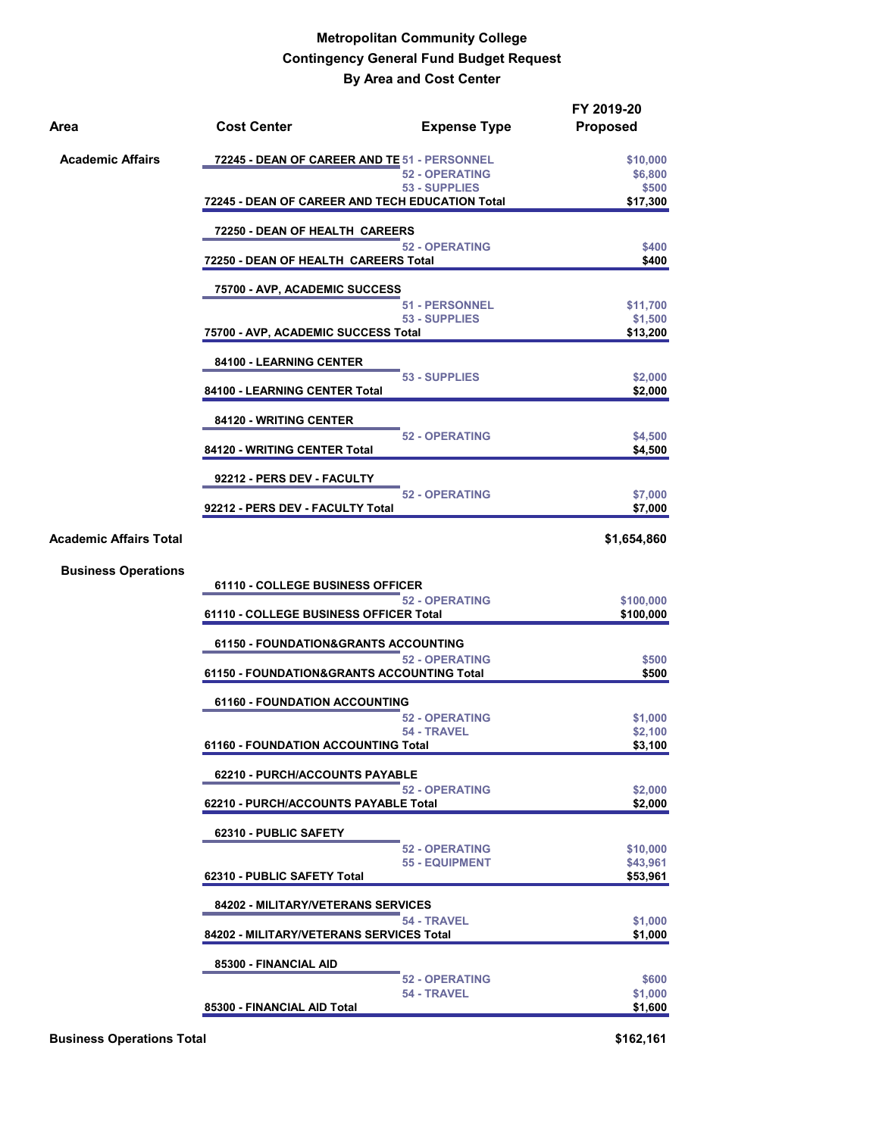| Area                          | <b>Cost Center</b>                              | <b>Expense Type</b>   | FY 2019-20<br><b>Proposed</b> |
|-------------------------------|-------------------------------------------------|-----------------------|-------------------------------|
| <b>Academic Affairs</b>       | 72245 - DEAN OF CAREER AND TE 51 - PERSONNEL    |                       | \$10,000                      |
|                               |                                                 | <b>52 - OPERATING</b> | \$6,800                       |
|                               | 72245 - DEAN OF CAREER AND TECH EDUCATION Total | 53 - SUPPLIES         | \$500<br>\$17,300             |
|                               | 72250 - DEAN OF HEALTH CAREERS                  |                       |                               |
|                               | 72250 - DEAN OF HEALTH CAREERS Total            | <b>52 - OPERATING</b> | \$400<br>\$400                |
|                               | 75700 - AVP, ACADEMIC SUCCESS                   |                       |                               |
|                               |                                                 | <b>51 - PERSONNEL</b> | \$11,700                      |
|                               | 75700 - AVP, ACADEMIC SUCCESS Total             | 53 - SUPPLIES         | \$1,500<br>\$13,200           |
|                               | 84100 - LEARNING CENTER                         |                       |                               |
|                               | 84100 - LEARNING CENTER Total                   | 53 - SUPPLIES         | \$2,000<br>\$2,000            |
|                               |                                                 |                       |                               |
|                               | 84120 - WRITING CENTER                          | <b>52 - OPERATING</b> | \$4,500                       |
|                               | 84120 - WRITING CENTER Total                    |                       | \$4,500                       |
|                               | 92212 - PERS DEV - FACULTY                      |                       |                               |
|                               | 92212 - PERS DEV - FACULTY Total                | <b>52 - OPERATING</b> | \$7,000<br>\$7,000            |
| <b>Academic Affairs Total</b> |                                                 |                       | \$1,654,860                   |
| <b>Business Operations</b>    |                                                 |                       |                               |
|                               | 61110 - COLLEGE BUSINESS OFFICER                | <b>52 - OPERATING</b> | \$100,000                     |
|                               | 61110 - COLLEGE BUSINESS OFFICER Total          |                       | \$100,000                     |
|                               | <b>61150 - FOUNDATION&amp;GRANTS ACCOUNTING</b> |                       |                               |
|                               | 61150 - FOUNDATION&GRANTS ACCOUNTING Total      | <b>52 - OPERATING</b> | \$500<br>\$500                |
|                               | <b>61160 - FOUNDATION ACCOUNTING</b>            |                       |                               |
|                               |                                                 | <b>52 - OPERATING</b> | \$1,000                       |
|                               | 61160 - FOUNDATION ACCOUNTING Total             | 54 - TRAVEL           | \$2,100<br>\$3,100            |
|                               | 62210 - PURCH/ACCOUNTS PAYABLE                  |                       |                               |
|                               | 62210 - PURCH/ACCOUNTS PAYABLE Total            | <b>52 - OPERATING</b> | \$2,000<br>\$2,000            |
|                               | 62310 - PUBLIC SAFETY                           |                       |                               |
|                               |                                                 | <b>52 - OPERATING</b> | \$10,000                      |
|                               | 62310 - PUBLIC SAFETY Total                     | 55 - EQUIPMENT        | \$43,961<br>\$53,961          |
|                               | 84202 - MILITARY/VETERANS SERVICES              |                       |                               |
|                               | 84202 - MILITARY/VETERANS SERVICES Total        | 54 - TRAVEL           | \$1,000<br>\$1,000            |
|                               | 85300 - FINANCIAL AID                           |                       |                               |
|                               |                                                 | <b>52 - OPERATING</b> | \$600                         |
|                               | 85300 - FINANCIAL AID Total                     | 54 - TRAVEL           | \$1,000<br>\$1,600            |
|                               |                                                 |                       |                               |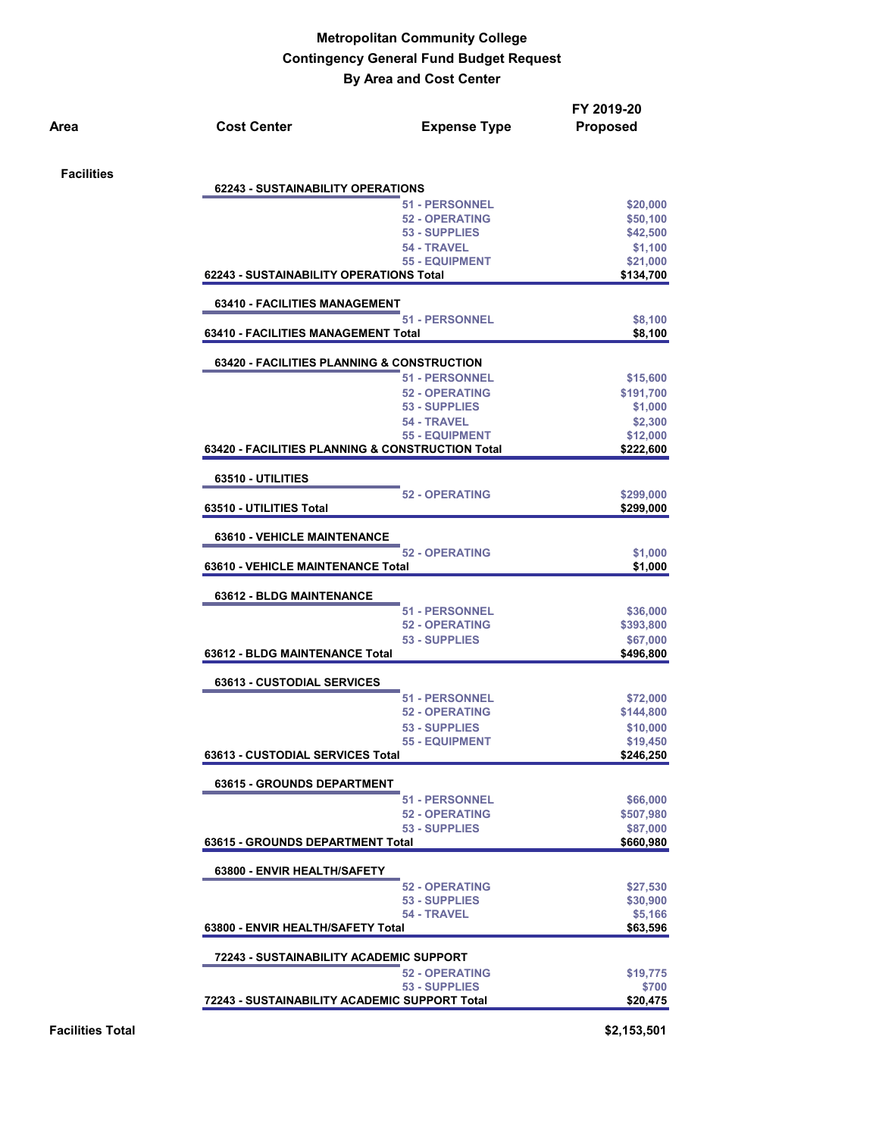|                   | <b>Cost Center</b>                                    | <b>Expense Type</b>                              | FY 2019-20<br><b>Proposed</b> |
|-------------------|-------------------------------------------------------|--------------------------------------------------|-------------------------------|
| <b>Facilities</b> |                                                       |                                                  |                               |
|                   | <b>62243 - SUSTAINABILITY OPERATIONS</b>              |                                                  |                               |
|                   |                                                       | <b>51 - PERSONNEL</b>                            | \$20,000                      |
|                   |                                                       | <b>52 - OPERATING</b><br>53 - SUPPLIES           | \$50,100                      |
|                   |                                                       | 54 - TRAVEL                                      | \$42,500                      |
|                   |                                                       | <b>55 - EQUIPMENT</b>                            | \$1,100<br>\$21,000           |
|                   | 62243 - SUSTAINABILITY OPERATIONS Total               |                                                  | \$134,700                     |
|                   | <b>63410 - FACILITIES MANAGEMENT</b>                  |                                                  |                               |
|                   |                                                       | <b>51 - PERSONNEL</b>                            | \$8,100                       |
|                   | 63410 - FACILITIES MANAGEMENT Total                   |                                                  | \$8,100                       |
|                   | <b>63420 - FACILITIES PLANNING &amp; CONSTRUCTION</b> |                                                  |                               |
|                   |                                                       | <b>51 - PERSONNEL</b>                            | \$15,600                      |
|                   |                                                       | <b>52 - OPERATING</b>                            | \$191,700                     |
|                   |                                                       | 53 - SUPPLIES                                    | \$1,000                       |
|                   |                                                       | 54 - TRAVEL                                      | \$2,300                       |
|                   |                                                       | <b>55 - EQUIPMENT</b>                            | \$12,000                      |
|                   |                                                       | 63420 - FACILITIES PLANNING & CONSTRUCTION Total | \$222,600                     |
|                   |                                                       |                                                  |                               |
|                   | 63510 - UTILITIES                                     | <b>52 - OPERATING</b>                            | \$299,000                     |
|                   | 63510 - UTILITIES Total                               |                                                  | \$299,000                     |
|                   | <b>63610 - VEHICLE MAINTENANCE</b>                    |                                                  |                               |
|                   |                                                       | <b>52 - OPERATING</b>                            | \$1,000                       |
|                   | 63610 - VEHICLE MAINTENANCE Total                     |                                                  | \$1,000                       |
|                   | 63612 - BLDG MAINTENANCE                              |                                                  |                               |
|                   |                                                       | 51 - PERSONNEL                                   | \$36,000                      |
|                   |                                                       | <b>52 - OPERATING</b>                            | \$393,800                     |
|                   |                                                       | 53 - SUPPLIES                                    | \$67,000                      |
|                   | 63612 - BLDG MAINTENANCE Total                        |                                                  | \$496,800                     |
|                   |                                                       |                                                  |                               |
|                   | <b>63613 - CUSTODIAL SERVICES</b>                     | <b>51 - PERSONNEL</b>                            |                               |
|                   |                                                       | <b>52 - OPERATING</b>                            | \$72,000<br>\$144,800         |
|                   |                                                       | 53 - SUPPLIES                                    | \$10,000                      |
|                   |                                                       | <b>55 - EQUIPMENT</b>                            | \$19,450                      |
|                   | 63613 - CUSTODIAL SERVICES Total                      |                                                  | \$246,250                     |
|                   |                                                       |                                                  |                               |
|                   | <b>63615 - GROUNDS DEPARTMENT</b>                     | <b>51 - PERSONNEL</b>                            | \$66,000                      |
|                   |                                                       | <b>52 - OPERATING</b>                            | \$507,980                     |
|                   |                                                       | 53 - SUPPLIES                                    | \$87,000                      |
|                   | 63615 - GROUNDS DEPARTMENT Total                      |                                                  | \$660,980                     |
|                   |                                                       |                                                  |                               |
|                   |                                                       |                                                  |                               |
|                   | 63800 - ENVIR HEALTH/SAFETY                           |                                                  |                               |
|                   |                                                       | <b>52 - OPERATING</b>                            | \$27,530                      |
|                   |                                                       | 53 - SUPPLIES                                    | \$30,900                      |
|                   | 63800 - ENVIR HEALTH/SAFETY Total                     | 54 - TRAVEL                                      | \$5,166<br>\$63,596           |
|                   | 72243 - SUSTAINABILITY ACADEMIC SUPPORT               |                                                  |                               |
|                   |                                                       | <b>52 - OPERATING</b>                            | \$19,775                      |
|                   |                                                       | 53 - SUPPLIES                                    | \$700                         |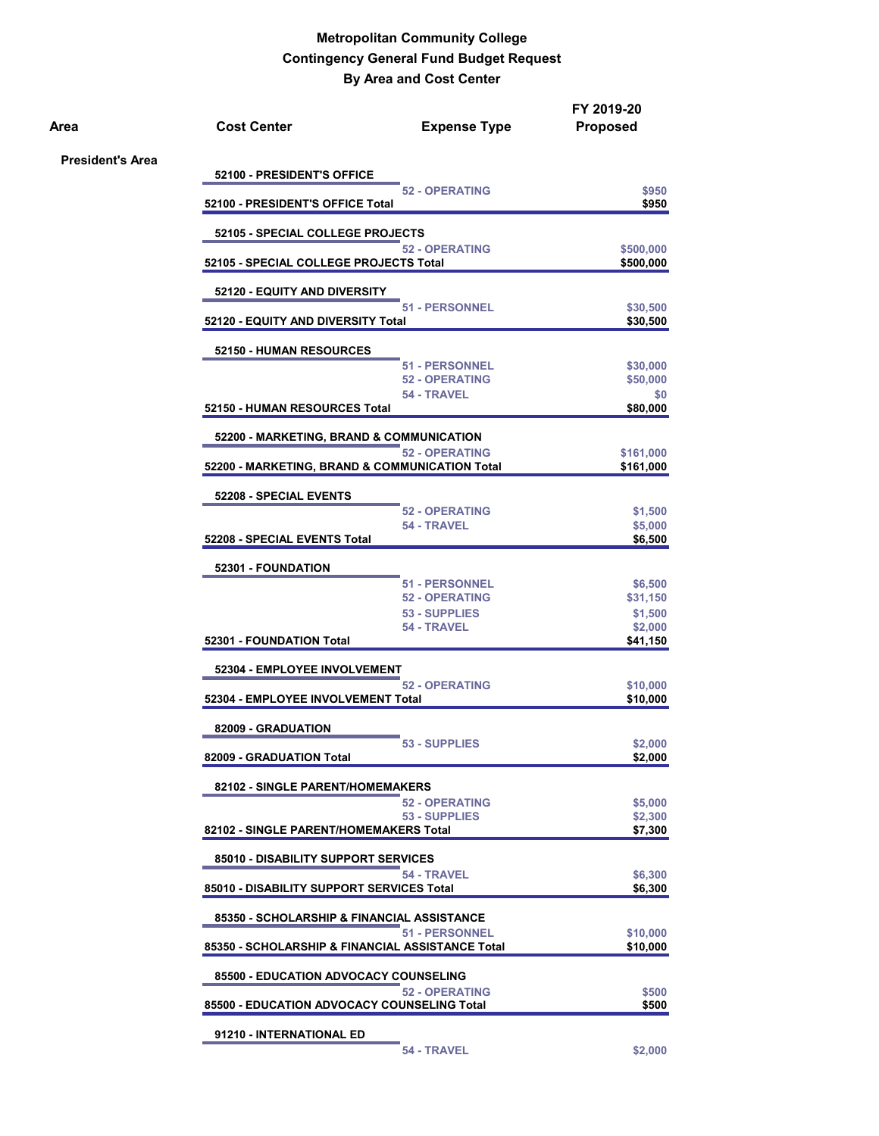| Area                    | <b>Cost Center</b>                               | <b>Expense Type</b>                     | FY 2019-20<br><b>Proposed</b> |
|-------------------------|--------------------------------------------------|-----------------------------------------|-------------------------------|
| <b>President's Area</b> | 52100 - PRESIDENT'S OFFICE                       |                                         |                               |
|                         | 52100 - PRESIDENT'S OFFICE Total                 | <b>52 - OPERATING</b>                   | \$950<br>\$950                |
|                         | 52105 - SPECIAL COLLEGE PROJECTS                 |                                         |                               |
|                         | 52105 - SPECIAL COLLEGE PROJECTS Total           | <b>52 - OPERATING</b>                   | \$500,000<br>\$500,000        |
|                         | 52120 - EQUITY AND DIVERSITY                     |                                         |                               |
|                         | 52120 - EQUITY AND DIVERSITY Total               | 51 - PERSONNEL                          | \$30,500<br>\$30,500          |
|                         | 52150 - HUMAN RESOURCES                          |                                         |                               |
|                         |                                                  | 51 - PERSONNEL<br><b>52 - OPERATING</b> | \$30,000<br>\$50,000          |
|                         |                                                  | 54 - TRAVEL                             | \$0                           |
|                         | 52150 - HUMAN RESOURCES Total                    |                                         | \$80,000                      |
|                         | 52200 - MARKETING, BRAND & COMMUNICATION         | <b>52 - OPERATING</b>                   | \$161,000                     |
|                         | 52200 - MARKETING, BRAND & COMMUNICATION Total   |                                         | \$161,000                     |
|                         | 52208 - SPECIAL EVENTS                           |                                         |                               |
|                         |                                                  | <b>52 - OPERATING</b><br>54 - TRAVEL    | \$1,500                       |
|                         | 52208 - SPECIAL EVENTS Total                     |                                         | \$5,000<br>\$6,500            |
|                         | 52301 - FOUNDATION                               |                                         |                               |
|                         |                                                  | <b>51 - PERSONNEL</b>                   | \$6,500                       |
|                         |                                                  | 52 - OPERATING<br>53 - SUPPLIES         | \$31,150<br>\$1,500           |
|                         | 52301 - FOUNDATION Total                         | 54 - TRAVEL                             | \$2,000<br>\$41,150           |
|                         |                                                  |                                         |                               |
|                         | 52304 - EMPLOYEE INVOLVEMENT                     | <b>52 - OPERATING</b>                   | \$10,000                      |
|                         | 52304 - EMPLOYEE INVOLVEMENT Total               |                                         | \$10,000                      |
|                         | 82009 - GRADUATION                               |                                         |                               |
|                         | 82009 - GRADUATION Total                         | 53 - SUPPLIES                           | \$2,000<br>\$2,000            |
|                         |                                                  |                                         |                               |
|                         | 82102 - SINGLE PARENT/HOMEMAKERS                 | <b>52 - OPERATING</b>                   | \$5,000                       |
|                         |                                                  | 53 - SUPPLIES                           | \$2,300                       |
|                         | 82102 - SINGLE PARENT/HOMEMAKERS Total           |                                         | \$7,300                       |
|                         | 85010 - DISABILITY SUPPORT SERVICES              |                                         |                               |
|                         | 85010 - DISABILITY SUPPORT SERVICES Total        | 54 - TRAVEL                             | \$6,300<br>\$6,300            |
|                         | 85350 - SCHOLARSHIP & FINANCIAL ASSISTANCE       |                                         |                               |
|                         | 85350 - SCHOLARSHIP & FINANCIAL ASSISTANCE Total | <b>51 - PERSONNEL</b>                   | \$10,000<br>\$10,000          |
|                         | <b>85500 - EDUCATION ADVOCACY COUNSELING</b>     |                                         |                               |
|                         | 85500 - EDUCATION ADVOCACY COUNSELING Total      | <b>52 - OPERATING</b>                   | \$500<br>\$500                |
|                         | 91210 - INTERNATIONAL ED                         |                                         |                               |
|                         |                                                  | 54 - TRAVEL                             | \$2,000                       |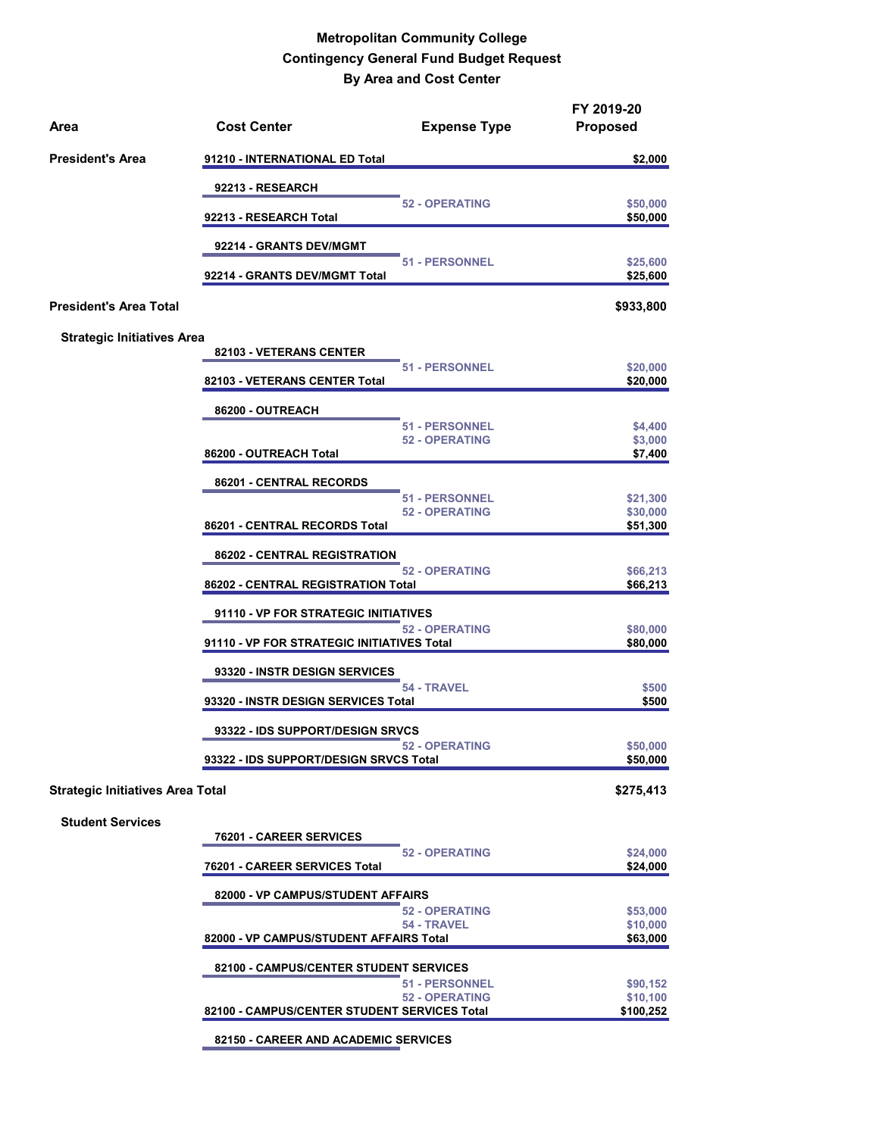| Area                                    | <b>Cost Center</b>                                       | <b>Expense Type</b>                            | FY 2019-20<br><b>Proposed</b>     |
|-----------------------------------------|----------------------------------------------------------|------------------------------------------------|-----------------------------------|
| <b>President's Area</b>                 | 91210 - INTERNATIONAL ED Total                           |                                                | \$2,000                           |
|                                         | 92213 - RESEARCH                                         |                                                |                                   |
|                                         | 92213 - RESEARCH Total                                   | <b>52 - OPERATING</b>                          | \$50,000<br>\$50,000              |
|                                         | 92214 - GRANTS DEV/MGMT                                  |                                                |                                   |
|                                         | 92214 - GRANTS DEV/MGMT Total                            | 51 - PERSONNEL                                 | \$25,600<br>\$25,600              |
| <b>President's Area Total</b>           |                                                          |                                                | \$933,800                         |
| <b>Strategic Initiatives Area</b>       |                                                          |                                                |                                   |
|                                         | 82103 - VETERANS CENTER                                  | <b>51 - PERSONNEL</b>                          | \$20,000                          |
|                                         | 82103 - VETERANS CENTER Total                            |                                                | \$20,000                          |
|                                         | 86200 - OUTREACH                                         |                                                |                                   |
|                                         | 86200 - OUTREACH Total                                   | <b>51 - PERSONNEL</b><br><b>52 - OPERATING</b> | \$4,400<br>\$3,000<br>\$7,400     |
|                                         | 86201 - CENTRAL RECORDS                                  |                                                |                                   |
|                                         |                                                          | <b>51 - PERSONNEL</b><br><b>52 - OPERATING</b> | \$21,300<br>\$30,000              |
|                                         | 86201 - CENTRAL RECORDS Total                            |                                                | \$51,300                          |
|                                         | 86202 - CENTRAL REGISTRATION                             | <b>52 - OPERATING</b>                          | \$66,213                          |
|                                         | 86202 - CENTRAL REGISTRATION Total                       |                                                | \$66,213                          |
|                                         | 91110 - VP FOR STRATEGIC INITIATIVES                     |                                                |                                   |
|                                         | 91110 - VP FOR STRATEGIC INITIATIVES Total               | <b>52 - OPERATING</b>                          | \$80,000<br>\$80,000              |
|                                         | 93320 - INSTR DESIGN SERVICES                            |                                                |                                   |
|                                         | 93320 - INSTR DESIGN SERVICES Total                      | 54 - TRAVEL                                    | \$500<br>\$500                    |
|                                         | 93322 - IDS SUPPORT/DESIGN SRVCS                         |                                                |                                   |
|                                         | 93322 - IDS SUPPORT/DESIGN SRVCS Total                   | <b>52 - OPERATING</b>                          | \$50,000<br>\$50,000              |
| <b>Strategic Initiatives Area Total</b> |                                                          |                                                | \$275,413                         |
| <b>Student Services</b>                 |                                                          |                                                |                                   |
|                                         | 76201 - CAREER SERVICES<br>76201 - CAREER SERVICES Total | <b>52 - OPERATING</b>                          | \$24,000<br>\$24,000              |
|                                         | 82000 - VP CAMPUS/STUDENT AFFAIRS                        |                                                |                                   |
|                                         |                                                          | <b>52 - OPERATING</b><br>54 - TRAVEL           | \$53,000<br>\$10,000              |
|                                         | 82000 - VP CAMPUS/STUDENT AFFAIRS Total                  |                                                | \$63,000                          |
|                                         | 82100 - CAMPUS/CENTER STUDENT SERVICES                   |                                                |                                   |
|                                         | 82100 - CAMPUS/CENTER STUDENT SERVICES Total             | <b>51 - PERSONNEL</b><br><b>52 - OPERATING</b> | \$90,152<br>\$10,100<br>\$100,252 |
|                                         | 82150 - CAREER AND ACADEMIC SERVICES                     |                                                |                                   |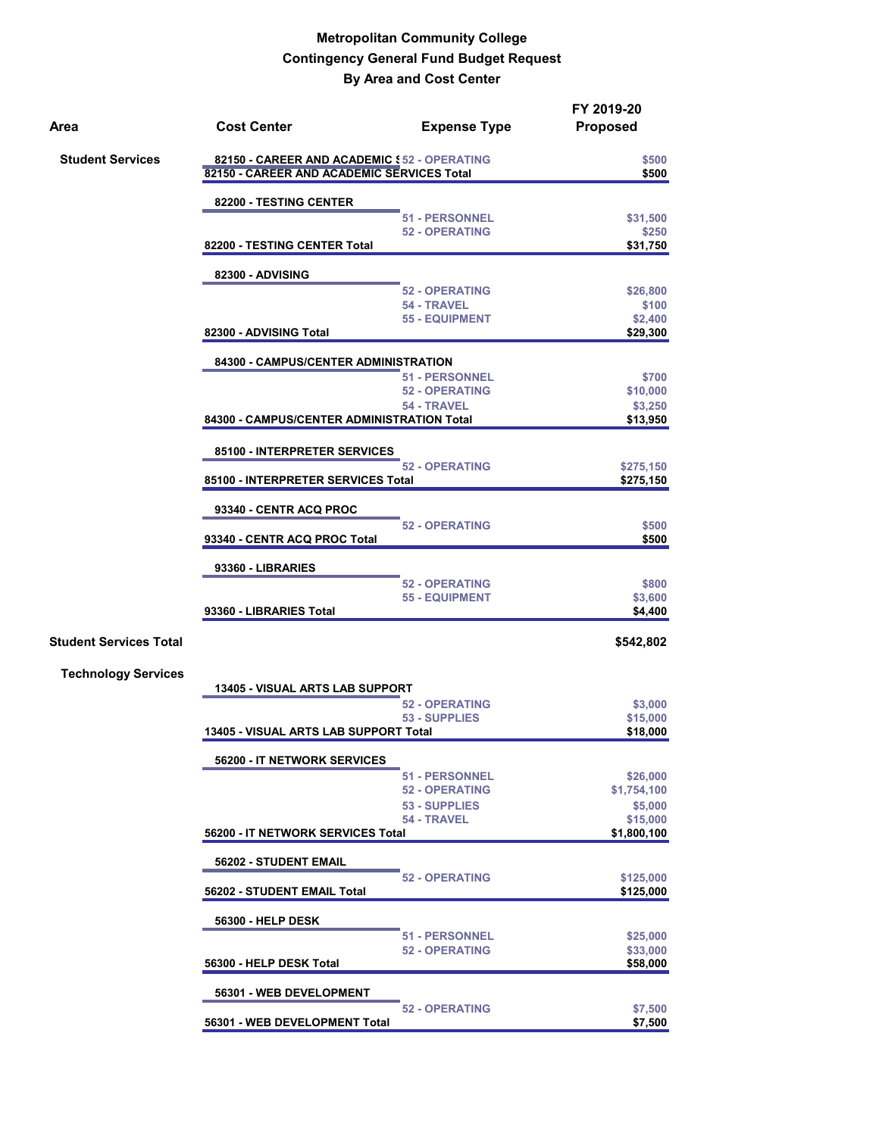| Area                          | <b>Cost Center</b>                                                                         | <b>Expense Type</b>          | FY 2019-20<br><b>Proposed</b> |
|-------------------------------|--------------------------------------------------------------------------------------------|------------------------------|-------------------------------|
| <b>Student Services</b>       | 82150 - CAREER AND ACADEMIC \$52 - OPERATING<br>82150 - CAREER AND ACADEMIC SERVICES Total |                              | \$500<br>\$500                |
|                               |                                                                                            |                              |                               |
|                               | 82200 - TESTING CENTER                                                                     | <b>51 - PERSONNEL</b>        | \$31,500                      |
|                               |                                                                                            | <b>52 - OPERATING</b>        | \$250                         |
|                               | 82200 - TESTING CENTER Total                                                               |                              | \$31,750                      |
|                               | 82300 - ADVISING                                                                           |                              |                               |
|                               |                                                                                            | <b>52 - OPERATING</b>        | \$26,800                      |
|                               |                                                                                            | 54 - TRAVEL                  | \$100                         |
|                               | 82300 - ADVISING Total                                                                     | <b>55 - EQUIPMENT</b>        | \$2,400<br>\$29,300           |
|                               | 84300 - CAMPUS/CENTER ADMINISTRATION                                                       |                              |                               |
|                               |                                                                                            | <b>51 - PERSONNEL</b>        | \$700                         |
|                               |                                                                                            | <b>52 - OPERATING</b>        | \$10,000                      |
|                               |                                                                                            | 54 - TRAVEL                  | \$3,250                       |
|                               | 84300 - CAMPUS/CENTER ADMINISTRATION Total                                                 |                              | \$13,950                      |
|                               | 85100 - INTERPRETER SERVICES                                                               |                              |                               |
|                               | 85100 - INTERPRETER SERVICES Total                                                         | <b>52 - OPERATING</b>        | \$275,150<br>\$275,150        |
|                               |                                                                                            |                              |                               |
|                               | 93340 - CENTR ACQ PROC                                                                     |                              |                               |
|                               | 93340 - CENTR ACQ PROC Total                                                               | <b>52 - OPERATING</b>        | \$500<br>\$500                |
|                               |                                                                                            |                              |                               |
|                               | 93360 - LIBRARIES                                                                          | <b>52 - OPERATING</b>        | \$800                         |
|                               |                                                                                            | <b>55 - EQUIPMENT</b>        | \$3,600                       |
|                               | 93360 - LIBRARIES Total                                                                    |                              | \$4,400                       |
| <b>Student Services Total</b> |                                                                                            |                              | \$542,802                     |
|                               |                                                                                            |                              |                               |
| <b>Technology Services</b>    | <b>13405 - VISUAL ARTS LAB SUPPORT</b>                                                     |                              |                               |
|                               |                                                                                            | <b>52 - OPERATING</b>        | \$3,000                       |
|                               |                                                                                            | 53 - SUPPLIES                | \$15,000                      |
|                               | 13405 - VISUAL ARTS LAB SUPPORT Total                                                      |                              | \$18,000                      |
|                               | 56200 - IT NETWORK SERVICES                                                                |                              |                               |
|                               |                                                                                            | <b>51 - PERSONNEL</b>        | \$26,000                      |
|                               |                                                                                            | <b>52 - OPERATING</b>        | \$1,754,100                   |
|                               |                                                                                            | 53 - SUPPLIES<br>54 - TRAVEL | \$5,000<br>\$15,000           |
|                               | 56200 - IT NETWORK SERVICES Total                                                          |                              | \$1,800,100                   |
|                               | 56202 - STUDENT EMAIL                                                                      |                              |                               |
|                               |                                                                                            | <b>52 - OPERATING</b>        | \$125,000                     |
|                               | 56202 - STUDENT EMAIL Total                                                                |                              | \$125,000                     |
|                               | <b>56300 - HELP DESK</b>                                                                   |                              |                               |
|                               |                                                                                            | <b>51 - PERSONNEL</b>        | \$25,000                      |
|                               |                                                                                            | <b>52 - OPERATING</b>        | \$33,000                      |
|                               | 56300 - HELP DESK Total                                                                    |                              | \$58,000                      |
|                               | 56301 - WEB DEVELOPMENT                                                                    |                              |                               |
|                               | 56301 - WEB DEVELOPMENT Total                                                              | <b>52 - OPERATING</b>        | \$7,500<br>\$7,500            |
|                               |                                                                                            |                              |                               |